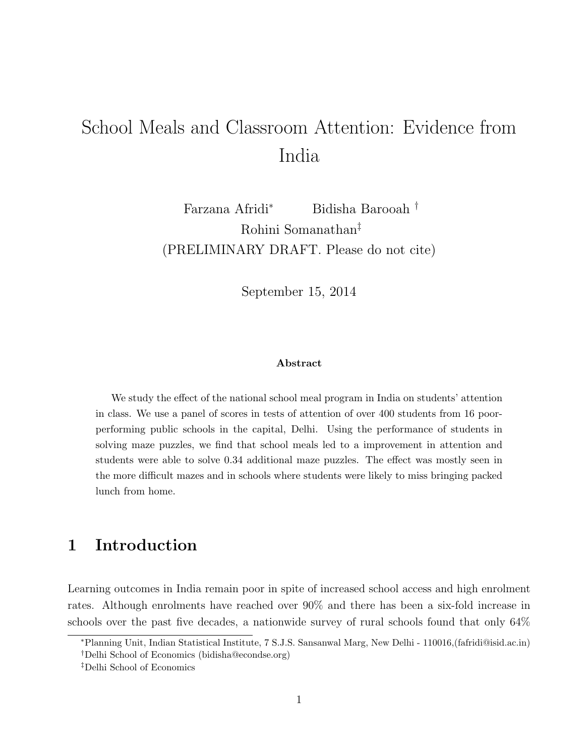# School Meals and Classroom Attention: Evidence from India

Farzana Afridi<sup>∗</sup> Bidisha Barooah † Rohini Somanathan‡ (PRELIMINARY DRAFT. Please do not cite)

September 15, 2014

#### Abstract

We study the effect of the national school meal program in India on students' attention in class. We use a panel of scores in tests of attention of over 400 students from 16 poorperforming public schools in the capital, Delhi. Using the performance of students in solving maze puzzles, we find that school meals led to a improvement in attention and students were able to solve 0.34 additional maze puzzles. The effect was mostly seen in the more difficult mazes and in schools where students were likely to miss bringing packed lunch from home.

# 1 Introduction

Learning outcomes in India remain poor in spite of increased school access and high enrolment rates. Although enrolments have reached over 90% and there has been a six-fold increase in schools over the past five decades, a nationwide survey of rural schools found that only 64%

<sup>∗</sup>Planning Unit, Indian Statistical Institute, 7 S.J.S. Sansanwal Marg, New Delhi - 110016,(fafridi@isid.ac.in) †Delhi School of Economics (bidisha@econdse.org)

<sup>‡</sup>Delhi School of Economics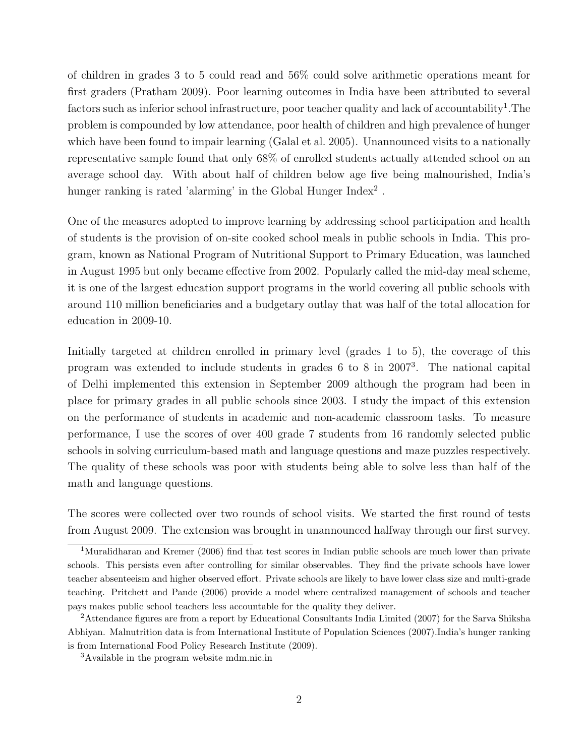of children in grades 3 to 5 could read and 56% could solve arithmetic operations meant for first graders (Pratham 2009). Poor learning outcomes in India have been attributed to several factors such as inferior school infrastructure, poor teacher quality and lack of accountability<sup>1</sup>. The problem is compounded by low attendance, poor health of children and high prevalence of hunger which have been found to impair learning (Galal et al. 2005). Unannounced visits to a nationally representative sample found that only 68% of enrolled students actually attended school on an average school day. With about half of children below age five being malnourished, India's hunger ranking is rated 'alarming' in the Global Hunger  $Index<sup>2</sup>$ .

One of the measures adopted to improve learning by addressing school participation and health of students is the provision of on-site cooked school meals in public schools in India. This program, known as National Program of Nutritional Support to Primary Education, was launched in August 1995 but only became effective from 2002. Popularly called the mid-day meal scheme, it is one of the largest education support programs in the world covering all public schools with around 110 million beneficiaries and a budgetary outlay that was half of the total allocation for education in 2009-10.

Initially targeted at children enrolled in primary level (grades 1 to 5), the coverage of this program was extended to include students in grades 6 to 8 in 2007<sup>3</sup> . The national capital of Delhi implemented this extension in September 2009 although the program had been in place for primary grades in all public schools since 2003. I study the impact of this extension on the performance of students in academic and non-academic classroom tasks. To measure performance, I use the scores of over 400 grade 7 students from 16 randomly selected public schools in solving curriculum-based math and language questions and maze puzzles respectively. The quality of these schools was poor with students being able to solve less than half of the math and language questions.

The scores were collected over two rounds of school visits. We started the first round of tests from August 2009. The extension was brought in unannounced halfway through our first survey.

<sup>&</sup>lt;sup>1</sup>Muralidharan and Kremer (2006) find that test scores in Indian public schools are much lower than private schools. This persists even after controlling for similar observables. They find the private schools have lower teacher absenteeism and higher observed effort. Private schools are likely to have lower class size and multi-grade teaching. Pritchett and Pande (2006) provide a model where centralized management of schools and teacher pays makes public school teachers less accountable for the quality they deliver.

<sup>2</sup>Attendance figures are from a report by Educational Consultants India Limited (2007) for the Sarva Shiksha Abhiyan. Malnutrition data is from International Institute of Population Sciences (2007).India's hunger ranking is from International Food Policy Research Institute (2009).

<sup>3</sup>Available in the program website mdm.nic.in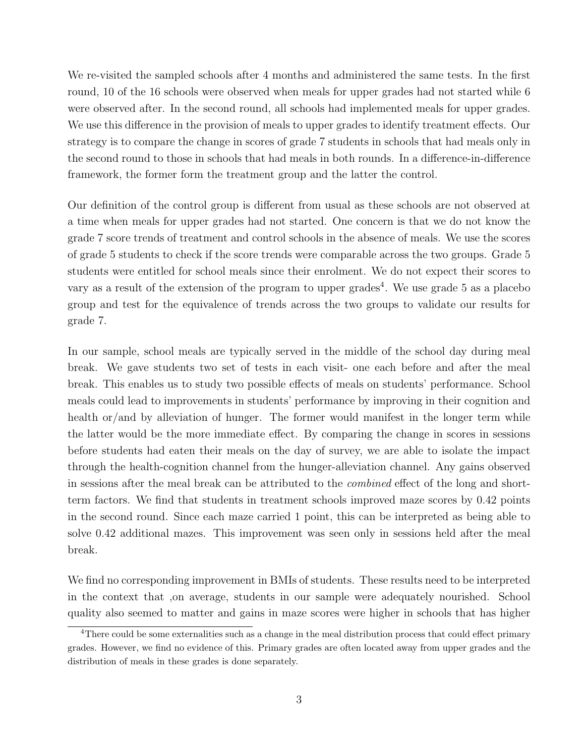We re-visited the sampled schools after 4 months and administered the same tests. In the first round, 10 of the 16 schools were observed when meals for upper grades had not started while 6 were observed after. In the second round, all schools had implemented meals for upper grades. We use this difference in the provision of meals to upper grades to identify treatment effects. Our strategy is to compare the change in scores of grade 7 students in schools that had meals only in the second round to those in schools that had meals in both rounds. In a difference-in-difference framework, the former form the treatment group and the latter the control.

Our definition of the control group is different from usual as these schools are not observed at a time when meals for upper grades had not started. One concern is that we do not know the grade 7 score trends of treatment and control schools in the absence of meals. We use the scores of grade 5 students to check if the score trends were comparable across the two groups. Grade 5 students were entitled for school meals since their enrolment. We do not expect their scores to vary as a result of the extension of the program to upper grades<sup>4</sup>. We use grade 5 as a placebo group and test for the equivalence of trends across the two groups to validate our results for grade 7.

In our sample, school meals are typically served in the middle of the school day during meal break. We gave students two set of tests in each visit- one each before and after the meal break. This enables us to study two possible effects of meals on students' performance. School meals could lead to improvements in students' performance by improving in their cognition and health or/and by alleviation of hunger. The former would manifest in the longer term while the latter would be the more immediate effect. By comparing the change in scores in sessions before students had eaten their meals on the day of survey, we are able to isolate the impact through the health-cognition channel from the hunger-alleviation channel. Any gains observed in sessions after the meal break can be attributed to the combined effect of the long and shortterm factors. We find that students in treatment schools improved maze scores by 0.42 points in the second round. Since each maze carried 1 point, this can be interpreted as being able to solve 0.42 additional mazes. This improvement was seen only in sessions held after the meal break.

We find no corresponding improvement in BMIs of students. These results need to be interpreted in the context that ,on average, students in our sample were adequately nourished. School quality also seemed to matter and gains in maze scores were higher in schools that has higher

<sup>&</sup>lt;sup>4</sup>There could be some externalities such as a change in the meal distribution process that could effect primary grades. However, we find no evidence of this. Primary grades are often located away from upper grades and the distribution of meals in these grades is done separately.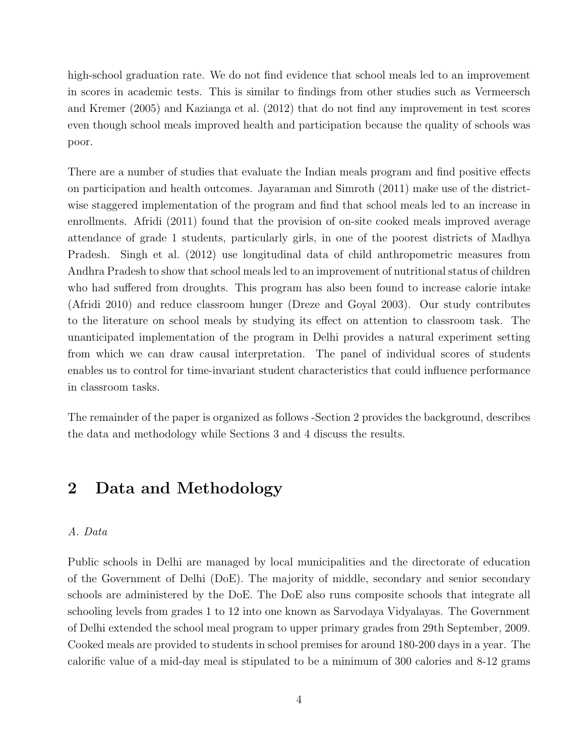high-school graduation rate. We do not find evidence that school meals led to an improvement in scores in academic tests. This is similar to findings from other studies such as Vermeersch and Kremer (2005) and Kazianga et al. (2012) that do not find any improvement in test scores even though school meals improved health and participation because the quality of schools was poor.

There are a number of studies that evaluate the Indian meals program and find positive effects on participation and health outcomes. Jayaraman and Simroth (2011) make use of the districtwise staggered implementation of the program and find that school meals led to an increase in enrollments. Afridi (2011) found that the provision of on-site cooked meals improved average attendance of grade 1 students, particularly girls, in one of the poorest districts of Madhya Pradesh. Singh et al. (2012) use longitudinal data of child anthropometric measures from Andhra Pradesh to show that school meals led to an improvement of nutritional status of children who had suffered from droughts. This program has also been found to increase calorie intake (Afridi 2010) and reduce classroom hunger (Dreze and Goyal 2003). Our study contributes to the literature on school meals by studying its effect on attention to classroom task. The unanticipated implementation of the program in Delhi provides a natural experiment setting from which we can draw causal interpretation. The panel of individual scores of students enables us to control for time-invariant student characteristics that could influence performance in classroom tasks.

The remainder of the paper is organized as follows -Section 2 provides the background, describes the data and methodology while Sections 3 and 4 discuss the results.

# 2 Data and Methodology

#### A. Data

Public schools in Delhi are managed by local municipalities and the directorate of education of the Government of Delhi (DoE). The majority of middle, secondary and senior secondary schools are administered by the DoE. The DoE also runs composite schools that integrate all schooling levels from grades 1 to 12 into one known as Sarvodaya Vidyalayas. The Government of Delhi extended the school meal program to upper primary grades from 29th September, 2009. Cooked meals are provided to students in school premises for around 180-200 days in a year. The calorific value of a mid-day meal is stipulated to be a minimum of 300 calories and 8-12 grams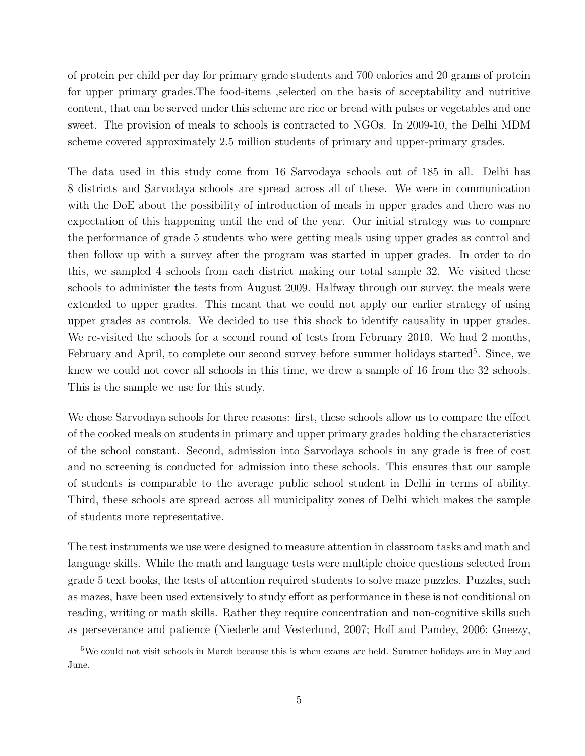of protein per child per day for primary grade students and 700 calories and 20 grams of protein for upper primary grades.The food-items ,selected on the basis of acceptability and nutritive content, that can be served under this scheme are rice or bread with pulses or vegetables and one sweet. The provision of meals to schools is contracted to NGOs. In 2009-10, the Delhi MDM scheme covered approximately 2.5 million students of primary and upper-primary grades.

The data used in this study come from 16 Sarvodaya schools out of 185 in all. Delhi has 8 districts and Sarvodaya schools are spread across all of these. We were in communication with the DoE about the possibility of introduction of meals in upper grades and there was no expectation of this happening until the end of the year. Our initial strategy was to compare the performance of grade 5 students who were getting meals using upper grades as control and then follow up with a survey after the program was started in upper grades. In order to do this, we sampled 4 schools from each district making our total sample 32. We visited these schools to administer the tests from August 2009. Halfway through our survey, the meals were extended to upper grades. This meant that we could not apply our earlier strategy of using upper grades as controls. We decided to use this shock to identify causality in upper grades. We re-visited the schools for a second round of tests from February 2010. We had 2 months, February and April, to complete our second survey before summer holidays started<sup>5</sup>. Since, we knew we could not cover all schools in this time, we drew a sample of 16 from the 32 schools. This is the sample we use for this study.

We chose Sarvodaya schools for three reasons: first, these schools allow us to compare the effect of the cooked meals on students in primary and upper primary grades holding the characteristics of the school constant. Second, admission into Sarvodaya schools in any grade is free of cost and no screening is conducted for admission into these schools. This ensures that our sample of students is comparable to the average public school student in Delhi in terms of ability. Third, these schools are spread across all municipality zones of Delhi which makes the sample of students more representative.

The test instruments we use were designed to measure attention in classroom tasks and math and language skills. While the math and language tests were multiple choice questions selected from grade 5 text books, the tests of attention required students to solve maze puzzles. Puzzles, such as mazes, have been used extensively to study effort as performance in these is not conditional on reading, writing or math skills. Rather they require concentration and non-cognitive skills such as perseverance and patience (Niederle and Vesterlund, 2007; Hoff and Pandey, 2006; Gneezy,

<sup>5</sup>We could not visit schools in March because this is when exams are held. Summer holidays are in May and June.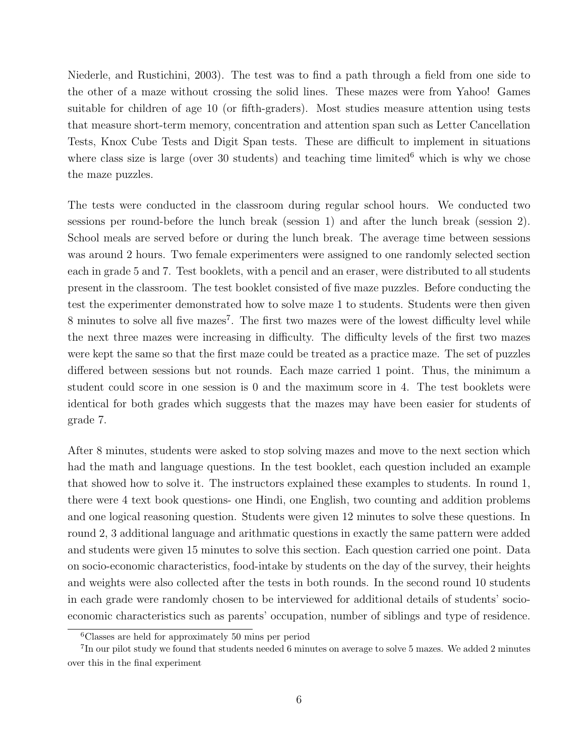Niederle, and Rustichini, 2003). The test was to find a path through a field from one side to the other of a maze without crossing the solid lines. These mazes were from Yahoo! Games suitable for children of age 10 (or fifth-graders). Most studies measure attention using tests that measure short-term memory, concentration and attention span such as Letter Cancellation Tests, Knox Cube Tests and Digit Span tests. These are difficult to implement in situations where class size is large (over 30 students) and teaching time limited<sup>6</sup> which is why we chose the maze puzzles.

The tests were conducted in the classroom during regular school hours. We conducted two sessions per round-before the lunch break (session 1) and after the lunch break (session 2). School meals are served before or during the lunch break. The average time between sessions was around 2 hours. Two female experimenters were assigned to one randomly selected section each in grade 5 and 7. Test booklets, with a pencil and an eraser, were distributed to all students present in the classroom. The test booklet consisted of five maze puzzles. Before conducting the test the experimenter demonstrated how to solve maze 1 to students. Students were then given 8 minutes to solve all five mazes<sup>7</sup>. The first two mazes were of the lowest difficulty level while the next three mazes were increasing in difficulty. The difficulty levels of the first two mazes were kept the same so that the first maze could be treated as a practice maze. The set of puzzles differed between sessions but not rounds. Each maze carried 1 point. Thus, the minimum a student could score in one session is 0 and the maximum score in 4. The test booklets were identical for both grades which suggests that the mazes may have been easier for students of grade 7.

After 8 minutes, students were asked to stop solving mazes and move to the next section which had the math and language questions. In the test booklet, each question included an example that showed how to solve it. The instructors explained these examples to students. In round 1, there were 4 text book questions- one Hindi, one English, two counting and addition problems and one logical reasoning question. Students were given 12 minutes to solve these questions. In round 2, 3 additional language and arithmatic questions in exactly the same pattern were added and students were given 15 minutes to solve this section. Each question carried one point. Data on socio-economic characteristics, food-intake by students on the day of the survey, their heights and weights were also collected after the tests in both rounds. In the second round 10 students in each grade were randomly chosen to be interviewed for additional details of students' socioeconomic characteristics such as parents' occupation, number of siblings and type of residence.

<sup>6</sup>Classes are held for approximately 50 mins per period

<sup>&</sup>lt;sup>7</sup>In our pilot study we found that students needed 6 minutes on average to solve 5 mazes. We added 2 minutes over this in the final experiment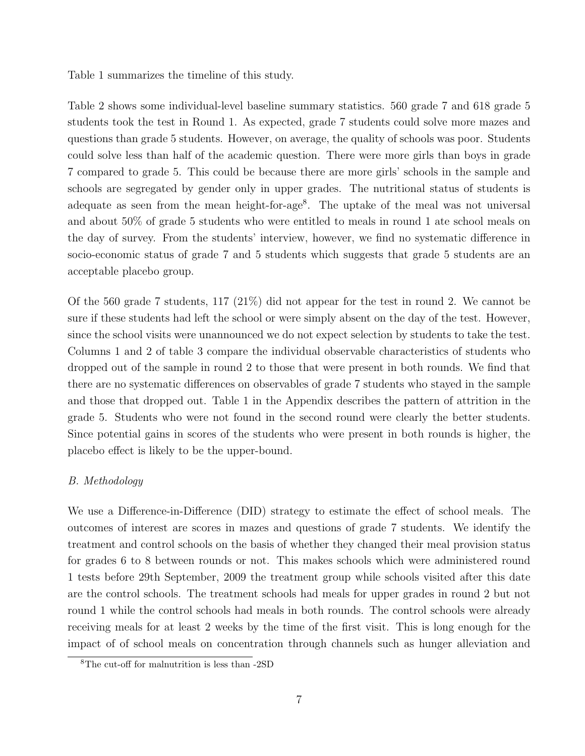Table 1 summarizes the timeline of this study.

Table 2 shows some individual-level baseline summary statistics. 560 grade 7 and 618 grade 5 students took the test in Round 1. As expected, grade 7 students could solve more mazes and questions than grade 5 students. However, on average, the quality of schools was poor. Students could solve less than half of the academic question. There were more girls than boys in grade 7 compared to grade 5. This could be because there are more girls' schools in the sample and schools are segregated by gender only in upper grades. The nutritional status of students is adequate as seen from the mean height-for-age<sup>8</sup>. The uptake of the meal was not universal and about 50% of grade 5 students who were entitled to meals in round 1 ate school meals on the day of survey. From the students' interview, however, we find no systematic difference in socio-economic status of grade 7 and 5 students which suggests that grade 5 students are an acceptable placebo group.

Of the 560 grade 7 students, 117 (21%) did not appear for the test in round 2. We cannot be sure if these students had left the school or were simply absent on the day of the test. However, since the school visits were unannounced we do not expect selection by students to take the test. Columns 1 and 2 of table 3 compare the individual observable characteristics of students who dropped out of the sample in round 2 to those that were present in both rounds. We find that there are no systematic differences on observables of grade 7 students who stayed in the sample and those that dropped out. Table 1 in the Appendix describes the pattern of attrition in the grade 5. Students who were not found in the second round were clearly the better students. Since potential gains in scores of the students who were present in both rounds is higher, the placebo effect is likely to be the upper-bound.

#### B. Methodology

We use a Difference-in-Difference (DID) strategy to estimate the effect of school meals. The outcomes of interest are scores in mazes and questions of grade 7 students. We identify the treatment and control schools on the basis of whether they changed their meal provision status for grades 6 to 8 between rounds or not. This makes schools which were administered round 1 tests before 29th September, 2009 the treatment group while schools visited after this date are the control schools. The treatment schools had meals for upper grades in round 2 but not round 1 while the control schools had meals in both rounds. The control schools were already receiving meals for at least 2 weeks by the time of the first visit. This is long enough for the impact of of school meals on concentration through channels such as hunger alleviation and

<sup>8</sup>The cut-off for malnutrition is less than -2SD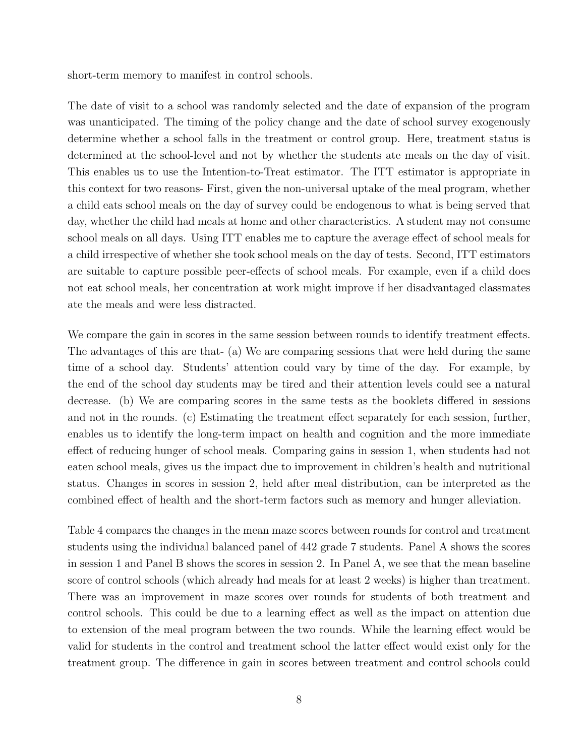short-term memory to manifest in control schools.

The date of visit to a school was randomly selected and the date of expansion of the program was unanticipated. The timing of the policy change and the date of school survey exogenously determine whether a school falls in the treatment or control group. Here, treatment status is determined at the school-level and not by whether the students ate meals on the day of visit. This enables us to use the Intention-to-Treat estimator. The ITT estimator is appropriate in this context for two reasons- First, given the non-universal uptake of the meal program, whether a child eats school meals on the day of survey could be endogenous to what is being served that day, whether the child had meals at home and other characteristics. A student may not consume school meals on all days. Using ITT enables me to capture the average effect of school meals for a child irrespective of whether she took school meals on the day of tests. Second, ITT estimators are suitable to capture possible peer-effects of school meals. For example, even if a child does not eat school meals, her concentration at work might improve if her disadvantaged classmates ate the meals and were less distracted.

We compare the gain in scores in the same session between rounds to identify treatment effects. The advantages of this are that- (a) We are comparing sessions that were held during the same time of a school day. Students' attention could vary by time of the day. For example, by the end of the school day students may be tired and their attention levels could see a natural decrease. (b) We are comparing scores in the same tests as the booklets differed in sessions and not in the rounds. (c) Estimating the treatment effect separately for each session, further, enables us to identify the long-term impact on health and cognition and the more immediate effect of reducing hunger of school meals. Comparing gains in session 1, when students had not eaten school meals, gives us the impact due to improvement in children's health and nutritional status. Changes in scores in session 2, held after meal distribution, can be interpreted as the combined effect of health and the short-term factors such as memory and hunger alleviation.

Table 4 compares the changes in the mean maze scores between rounds for control and treatment students using the individual balanced panel of 442 grade 7 students. Panel A shows the scores in session 1 and Panel B shows the scores in session 2. In Panel A, we see that the mean baseline score of control schools (which already had meals for at least 2 weeks) is higher than treatment. There was an improvement in maze scores over rounds for students of both treatment and control schools. This could be due to a learning effect as well as the impact on attention due to extension of the meal program between the two rounds. While the learning effect would be valid for students in the control and treatment school the latter effect would exist only for the treatment group. The difference in gain in scores between treatment and control schools could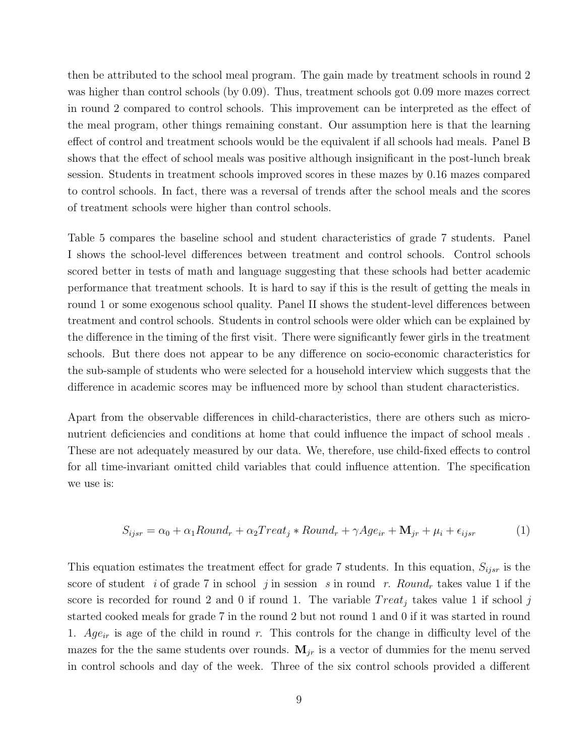then be attributed to the school meal program. The gain made by treatment schools in round 2 was higher than control schools (by 0.09). Thus, treatment schools got 0.09 more mazes correct in round 2 compared to control schools. This improvement can be interpreted as the effect of the meal program, other things remaining constant. Our assumption here is that the learning effect of control and treatment schools would be the equivalent if all schools had meals. Panel B shows that the effect of school meals was positive although insignificant in the post-lunch break session. Students in treatment schools improved scores in these mazes by 0.16 mazes compared to control schools. In fact, there was a reversal of trends after the school meals and the scores of treatment schools were higher than control schools.

Table 5 compares the baseline school and student characteristics of grade 7 students. Panel I shows the school-level differences between treatment and control schools. Control schools scored better in tests of math and language suggesting that these schools had better academic performance that treatment schools. It is hard to say if this is the result of getting the meals in round 1 or some exogenous school quality. Panel II shows the student-level differences between treatment and control schools. Students in control schools were older which can be explained by the difference in the timing of the first visit. There were significantly fewer girls in the treatment schools. But there does not appear to be any difference on socio-economic characteristics for the sub-sample of students who were selected for a household interview which suggests that the difference in academic scores may be influenced more by school than student characteristics.

Apart from the observable differences in child-characteristics, there are others such as micronutrient deficiencies and conditions at home that could influence the impact of school meals . These are not adequately measured by our data. We, therefore, use child-fixed effects to control for all time-invariant omitted child variables that could influence attention. The specification we use is:

$$
S_{ijsr} = \alpha_0 + \alpha_1 Round_r + \alpha_2 Treat_j * Round_r + \gamma Age_{ir} + \mathbf{M}_{jr} + \mu_i + \epsilon_{ijsr}
$$
 (1)

This equation estimates the treatment effect for grade 7 students. In this equation,  $S_{ijsr}$  is the score of student i of grade 7 in school j in session s in round r. Round<sub>r</sub> takes value 1 if the score is recorded for round 2 and 0 if round 1. The variable  $Treat_j$  takes value 1 if school j started cooked meals for grade 7 in the round 2 but not round 1 and 0 if it was started in round 1. Age<sub>ir</sub> is age of the child in round r. This controls for the change in difficulty level of the mazes for the the same students over rounds.  $M_{ir}$  is a vector of dummies for the menu served in control schools and day of the week. Three of the six control schools provided a different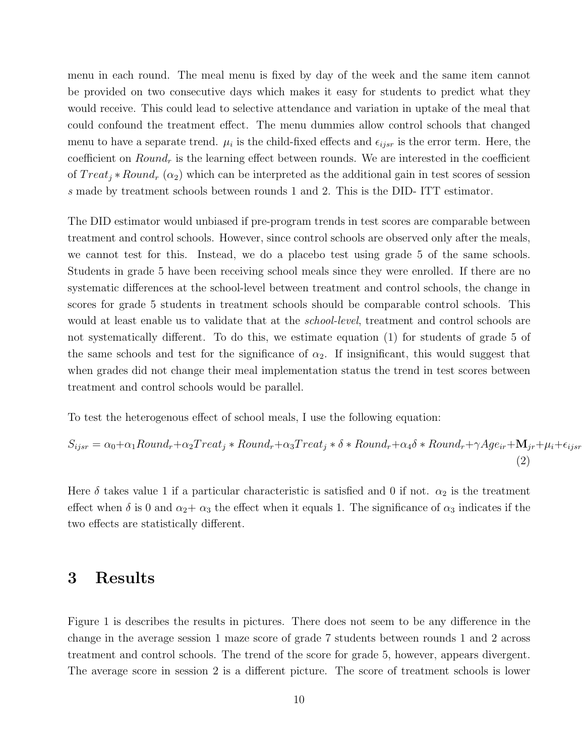menu in each round. The meal menu is fixed by day of the week and the same item cannot be provided on two consecutive days which makes it easy for students to predict what they would receive. This could lead to selective attendance and variation in uptake of the meal that could confound the treatment effect. The menu dummies allow control schools that changed menu to have a separate trend.  $\mu_i$  is the child-fixed effects and  $\epsilon_{ijsr}$  is the error term. Here, the coefficient on  $Round<sub>r</sub>$  is the learning effect between rounds. We are interested in the coefficient of  $Treat_i * Round_r (\alpha_2)$  which can be interpreted as the additional gain in test scores of session s made by treatment schools between rounds 1 and 2. This is the DID- ITT estimator.

The DID estimator would unbiased if pre-program trends in test scores are comparable between treatment and control schools. However, since control schools are observed only after the meals, we cannot test for this. Instead, we do a placebo test using grade 5 of the same schools. Students in grade 5 have been receiving school meals since they were enrolled. If there are no systematic differences at the school-level between treatment and control schools, the change in scores for grade 5 students in treatment schools should be comparable control schools. This would at least enable us to validate that at the *school-level*, treatment and control schools are not systematically different. To do this, we estimate equation (1) for students of grade 5 of the same schools and test for the significance of  $\alpha_2$ . If insignificant, this would suggest that when grades did not change their meal implementation status the trend in test scores between treatment and control schools would be parallel.

To test the heterogenous effect of school meals, I use the following equation:

$$
S_{ijsr} = \alpha_0 + \alpha_1 Round_r + \alpha_2 Treat_j * Round_r + \alpha_3 Treat_j * \delta * Round_r + \alpha_4 \delta * Round_r + \gamma Age_{ir} + \mathbf{M}_{jr} + \mu_i + \epsilon_{ijsr}
$$
\n(2)

Here  $\delta$  takes value 1 if a particular characteristic is satisfied and 0 if not.  $\alpha_2$  is the treatment effect when  $\delta$  is 0 and  $\alpha_2 + \alpha_3$  the effect when it equals 1. The significance of  $\alpha_3$  indicates if the two effects are statistically different.

### 3 Results

Figure 1 is describes the results in pictures. There does not seem to be any difference in the change in the average session 1 maze score of grade 7 students between rounds 1 and 2 across treatment and control schools. The trend of the score for grade 5, however, appears divergent. The average score in session 2 is a different picture. The score of treatment schools is lower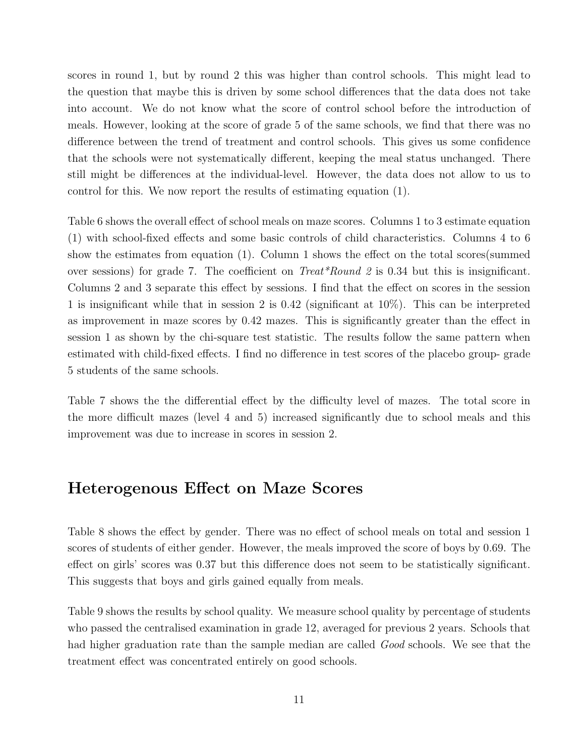scores in round 1, but by round 2 this was higher than control schools. This might lead to the question that maybe this is driven by some school differences that the data does not take into account. We do not know what the score of control school before the introduction of meals. However, looking at the score of grade 5 of the same schools, we find that there was no difference between the trend of treatment and control schools. This gives us some confidence that the schools were not systematically different, keeping the meal status unchanged. There still might be differences at the individual-level. However, the data does not allow to us to control for this. We now report the results of estimating equation (1).

Table 6 shows the overall effect of school meals on maze scores. Columns 1 to 3 estimate equation (1) with school-fixed effects and some basic controls of child characteristics. Columns 4 to 6 show the estimates from equation (1). Column 1 shows the effect on the total scores(summed over sessions) for grade 7. The coefficient on  $Treat * Round 2$  is 0.34 but this is insignificant. Columns 2 and 3 separate this effect by sessions. I find that the effect on scores in the session 1 is insignificant while that in session 2 is 0.42 (significant at 10%). This can be interpreted as improvement in maze scores by 0.42 mazes. This is significantly greater than the effect in session 1 as shown by the chi-square test statistic. The results follow the same pattern when estimated with child-fixed effects. I find no difference in test scores of the placebo group- grade 5 students of the same schools.

Table 7 shows the the differential effect by the difficulty level of mazes. The total score in the more difficult mazes (level 4 and 5) increased significantly due to school meals and this improvement was due to increase in scores in session 2.

### Heterogenous Effect on Maze Scores

Table 8 shows the effect by gender. There was no effect of school meals on total and session 1 scores of students of either gender. However, the meals improved the score of boys by 0.69. The effect on girls' scores was 0.37 but this difference does not seem to be statistically significant. This suggests that boys and girls gained equally from meals.

Table 9 shows the results by school quality. We measure school quality by percentage of students who passed the centralised examination in grade 12, averaged for previous 2 years. Schools that had higher graduation rate than the sample median are called *Good* schools. We see that the treatment effect was concentrated entirely on good schools.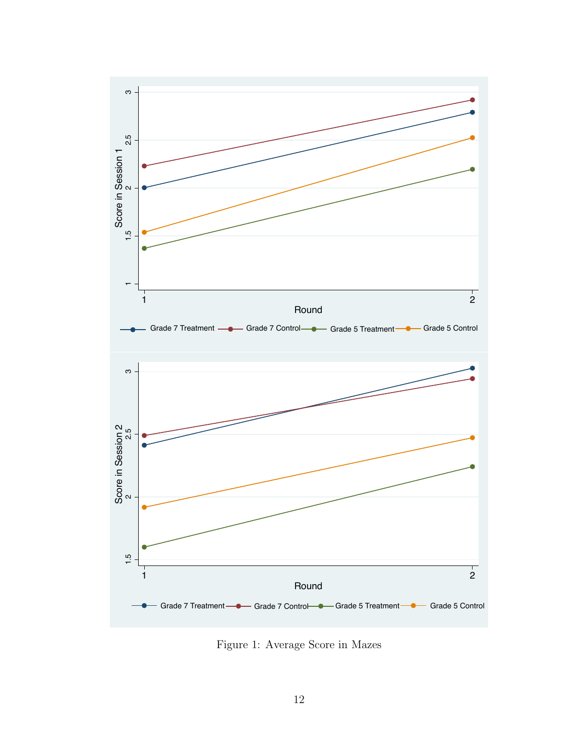

Figure 1: Average Score in Mazes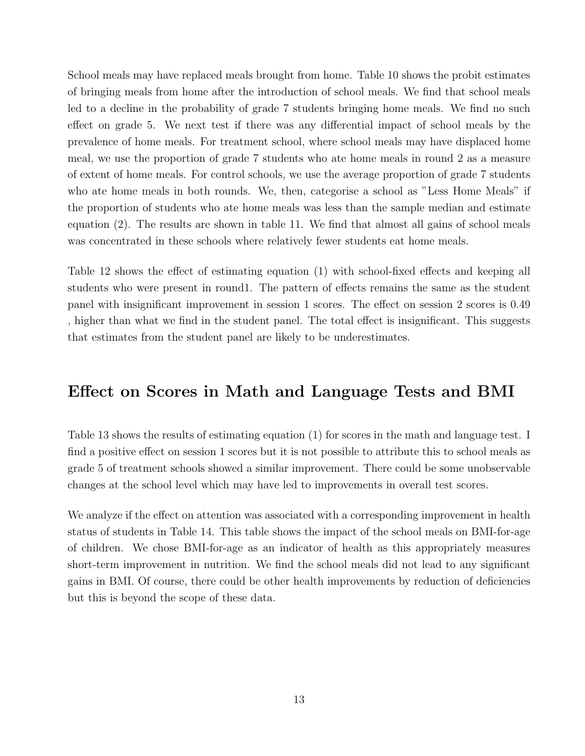School meals may have replaced meals brought from home. Table 10 shows the probit estimates of bringing meals from home after the introduction of school meals. We find that school meals led to a decline in the probability of grade 7 students bringing home meals. We find no such effect on grade 5. We next test if there was any differential impact of school meals by the prevalence of home meals. For treatment school, where school meals may have displaced home meal, we use the proportion of grade 7 students who ate home meals in round 2 as a measure of extent of home meals. For control schools, we use the average proportion of grade 7 students who ate home meals in both rounds. We, then, categorise a school as "Less Home Meals" if the proportion of students who ate home meals was less than the sample median and estimate equation (2). The results are shown in table 11. We find that almost all gains of school meals was concentrated in these schools where relatively fewer students eat home meals.

Table 12 shows the effect of estimating equation (1) with school-fixed effects and keeping all students who were present in round1. The pattern of effects remains the same as the student panel with insignificant improvement in session 1 scores. The effect on session 2 scores is 0.49 , higher than what we find in the student panel. The total effect is insignificant. This suggests that estimates from the student panel are likely to be underestimates.

## Effect on Scores in Math and Language Tests and BMI

Table 13 shows the results of estimating equation (1) for scores in the math and language test. I find a positive effect on session 1 scores but it is not possible to attribute this to school meals as grade 5 of treatment schools showed a similar improvement. There could be some unobservable changes at the school level which may have led to improvements in overall test scores.

We analyze if the effect on attention was associated with a corresponding improvement in health status of students in Table 14. This table shows the impact of the school meals on BMI-for-age of children. We chose BMI-for-age as an indicator of health as this appropriately measures short-term improvement in nutrition. We find the school meals did not lead to any significant gains in BMI. Of course, there could be other health improvements by reduction of deficiencies but this is beyond the scope of these data.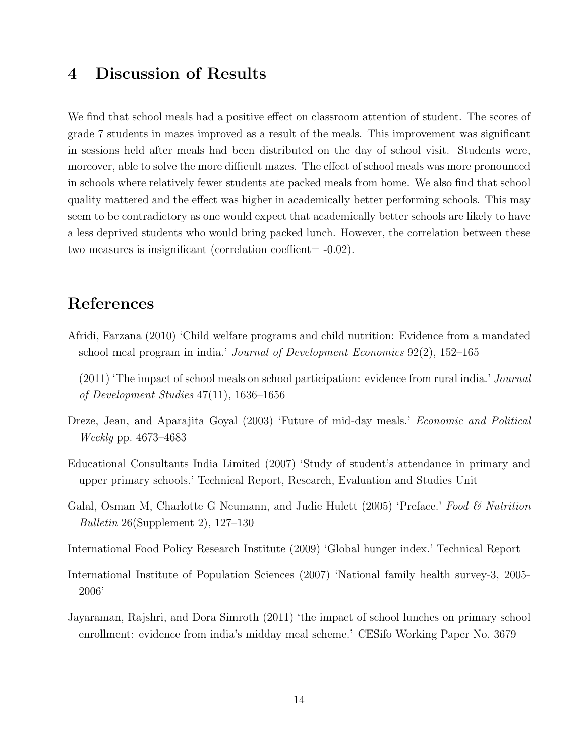### 4 Discussion of Results

We find that school meals had a positive effect on classroom attention of student. The scores of grade 7 students in mazes improved as a result of the meals. This improvement was significant in sessions held after meals had been distributed on the day of school visit. Students were, moreover, able to solve the more difficult mazes. The effect of school meals was more pronounced in schools where relatively fewer students ate packed meals from home. We also find that school quality mattered and the effect was higher in academically better performing schools. This may seem to be contradictory as one would expect that academically better schools are likely to have a less deprived students who would bring packed lunch. However, the correlation between these two measures is insignificant (correlation coeffient= -0.02).

# References

- Afridi, Farzana (2010) 'Child welfare programs and child nutrition: Evidence from a mandated school meal program in india.' Journal of Development Economics 92(2), 152–165
- $(2011)$  'The impact of school meals on school participation: evidence from rural india.' Journal of Development Studies 47(11), 1636–1656
- Dreze, Jean, and Aparajita Goyal (2003) 'Future of mid-day meals.' *Economic and Political* Weekly pp. 4673–4683
- Educational Consultants India Limited (2007) 'Study of student's attendance in primary and upper primary schools.' Technical Report, Research, Evaluation and Studies Unit
- Galal, Osman M, Charlotte G Neumann, and Judie Hulett (2005) 'Preface.' Food & Nutrition Bulletin 26(Supplement 2), 127–130
- International Food Policy Research Institute (2009) 'Global hunger index.' Technical Report
- International Institute of Population Sciences (2007) 'National family health survey-3, 2005- 2006'
- Jayaraman, Rajshri, and Dora Simroth (2011) 'the impact of school lunches on primary school enrollment: evidence from india's midday meal scheme.' CESifo Working Paper No. 3679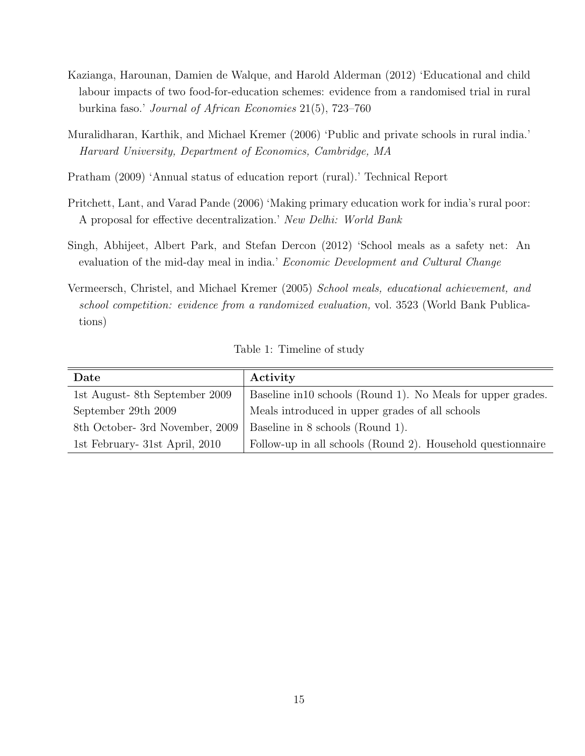- Kazianga, Harounan, Damien de Walque, and Harold Alderman (2012) 'Educational and child labour impacts of two food-for-education schemes: evidence from a randomised trial in rural burkina faso.' Journal of African Economies 21(5), 723–760
- Muralidharan, Karthik, and Michael Kremer (2006) 'Public and private schools in rural india.' Harvard University, Department of Economics, Cambridge, MA
- Pratham (2009) 'Annual status of education report (rural).' Technical Report
- Pritchett, Lant, and Varad Pande (2006) 'Making primary education work for india's rural poor: A proposal for effective decentralization.' New Delhi: World Bank
- Singh, Abhijeet, Albert Park, and Stefan Dercon (2012) 'School meals as a safety net: An evaluation of the mid-day meal in india.' Economic Development and Cultural Change
- Vermeersch, Christel, and Michael Kremer (2005) School meals, educational achievement, and school competition: evidence from a randomized evaluation, vol. 3523 (World Bank Publications)

| Table 1: Timeline of study |  |
|----------------------------|--|
|----------------------------|--|

| Date                            | Activity                                                     |  |  |
|---------------------------------|--------------------------------------------------------------|--|--|
| 1st August-8th September 2009   | Baseline in 10 schools (Round 1). No Meals for upper grades. |  |  |
| September 29th 2009             | Meals introduced in upper grades of all schools              |  |  |
| 8th October- 3rd November, 2009 | Baseline in 8 schools (Round 1).                             |  |  |
| 1st February- 31st April, 2010  | Follow-up in all schools (Round 2). Household questionnaire  |  |  |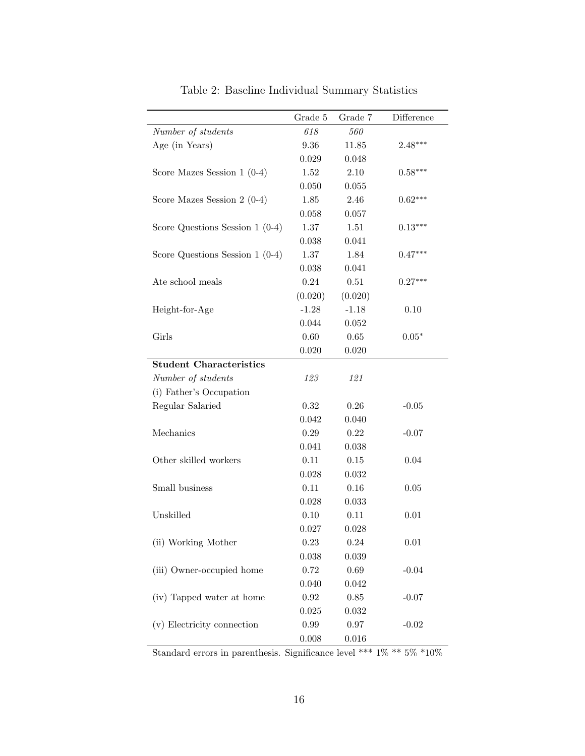|                                  | Grade 5  | Grade 7 | Difference |
|----------------------------------|----------|---------|------------|
| Number of students               | 618      | 560     |            |
| Age (in Years)                   | 9.36     | 11.85   | $2.48***$  |
|                                  | 0.029    | 0.048   |            |
| Score Mazes Session $1$ (0-4)    | 1.52     | 2.10    | $0.58***$  |
|                                  | 0.050    | 0.055   |            |
| Score Mazes Session $2(0-4)$     | 1.85     | 2.46    | $0.62***$  |
|                                  | 0.058    | 0.057   |            |
| Score Questions Session $1(0-4)$ | $1.37\,$ | 1.51    | $0.13***$  |
|                                  | 0.038    | 0.041   |            |
| Score Questions Session $1(0-4)$ | $1.37\,$ | 1.84    | $0.47***$  |
|                                  | 0.038    | 0.041   |            |
| Ate school meals                 | 0.24     | 0.51    | $0.27***$  |
|                                  | (0.020)  | (0.020) |            |
| Height-for-Age                   | $-1.28$  | $-1.18$ | 0.10       |
|                                  | 0.044    | 0.052   |            |
| Girls                            | 0.60     | 0.65    | $0.05*$    |
|                                  | 0.020    | 0.020   |            |
| <b>Student Characteristics</b>   |          |         |            |
| Number of students               | 123      | 121     |            |
| (i) Father's Occupation          |          |         |            |
| Regular Salaried                 | 0.32     | 0.26    | $-0.05$    |
|                                  | 0.042    | 0.040   |            |
| Mechanics                        | 0.29     | 0.22    | $-0.07$    |
|                                  | 0.041    | 0.038   |            |
| Other skilled workers            | 0.11     | 0.15    | 0.04       |
|                                  | 0.028    | 0.032   |            |
| Small business                   | 0.11     | 0.16    | 0.05       |
|                                  | 0.028    | 0.033   |            |
| Unskilled                        | 0.10     | 0.11    | 0.01       |
|                                  | 0.027    | 0.028   |            |
| (ii) Working Mother              | 0.23     | 0.24    | 0.01       |
|                                  | 0.038    | 0.039   |            |
| (iii) Owner-occupied home        | 0.72     | 0.69    | $-0.04$    |
|                                  | 0.040    | 0.042   |            |
| (iv) Tapped water at home        | $0.92\,$ | 0.85    | $-0.07$    |
|                                  | 0.025    | 0.032   |            |
| (v) Electricity connection       | 0.99     | 0.97    | $-0.02$    |
|                                  | 0.008    | 0.016   |            |

Table 2: Baseline Individual Summary Statistics

Standard errors in parenthesis. Significance level \*\*\* 1% \*\* 5% \*10%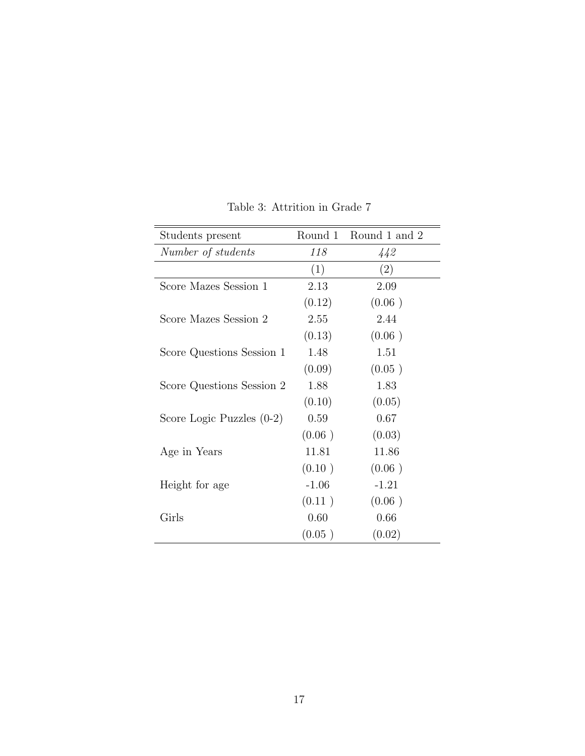| Students present            | Round 1 | Round 1 and 2 |
|-----------------------------|---------|---------------|
| Number of students          | 118     | 442           |
|                             | (1)     | (2)           |
| Score Mazes Session 1       | 2.13    | 2.09          |
|                             | (0.12)  | (0.06)        |
| Score Mazes Session 2       | 2.55    | 2.44          |
|                             | (0.13)  | (0.06)        |
| Score Questions Session 1   | 1.48    | 1.51          |
|                             | (0.09)  | (0.05)        |
| Score Questions Session 2   | 1.88    | 1.83          |
|                             | (0.10)  | (0.05)        |
| Score Logic Puzzles $(0-2)$ | 0.59    | 0.67          |
|                             | (0.06)  | (0.03)        |
| Age in Years                | 11.81   | 11.86         |
|                             | (0.10)  | (0.06)        |
| Height for age              | $-1.06$ | $-1.21$       |
|                             | (0.11)  | (0.06)        |
| Girls                       | 0.60    | 0.66          |
|                             | (0.05)  | (0.02)        |

Table 3: Attrition in Grade 7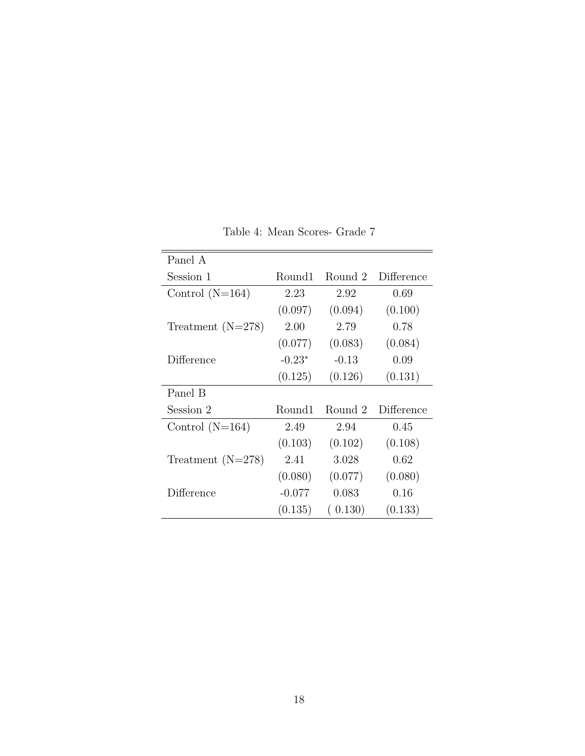| Panel A             |          |         |            |
|---------------------|----------|---------|------------|
| Session 1           | Round1   | Round 2 | Difference |
| Control $(N=164)$   | 2.23     | 2.92    | 0.69       |
|                     | (0.097)  | (0.094) | (0.100)    |
| Treatment $(N=278)$ | 2.00     | 2.79    | 0.78       |
|                     | (0.077)  | (0.083) | (0.084)    |
| Difference          | $-0.23*$ | $-0.13$ | 0.09       |
|                     | (0.125)  | (0.126) | (0.131)    |
| Panel B             |          |         |            |
| Session 2           | Round1   | Round 2 | Difference |
| Control $(N=164)$   | 2.49     | 2.94    | 0.45       |
|                     | (0.103)  | (0.102) | (0.108)    |
| Treatment $(N=278)$ | 2.41     | 3.028   | 0.62       |
|                     | (0.080)  | (0.077) | (0.080)    |
| Difference          | $-0.077$ | 0.083   | 0.16       |
|                     | (0.135)  | (0.130) | (0.133)    |

Table 4: Mean Scores- Grade 7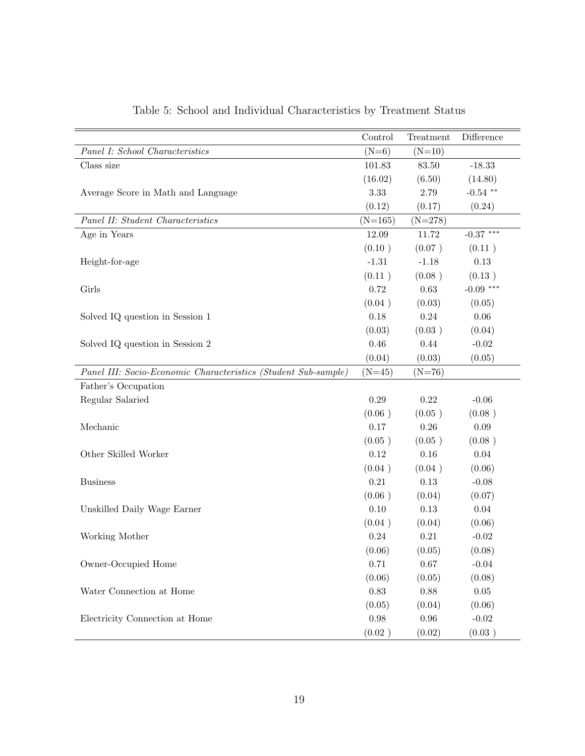|                                                                | Control   | Treatment | Difference  |
|----------------------------------------------------------------|-----------|-----------|-------------|
| Panel I: School Characteristics                                | $(N=6)$   | $(N=10)$  |             |
| Class size                                                     | 101.83    | 83.50     | $-18.33$    |
|                                                                | (16.02)   | (6.50)    | (14.80)     |
| Average Score in Math and Language                             | 3.33      | 2.79      | $-0.54$ **  |
|                                                                | (0.12)    | (0.17)    | (0.24)      |
| Panel II: Student Characteristics                              | $(N=165)$ | $(N=278)$ |             |
| Age in Years                                                   | 12.09     | 11.72     | $-0.37$ *** |
|                                                                | (0.10)    | (0.07)    | (0.11)      |
| Height-for-age                                                 | $-1.31$   | $-1.18$   | 0.13        |
|                                                                | (0.11)    | (0.08)    | (0.13)      |
| Girls                                                          | 0.72      | 0.63      | $-0.09$ *** |
|                                                                | (0.04)    | (0.03)    | (0.05)      |
| Solved IQ question in Session 1                                | 0.18      | 0.24      | 0.06        |
|                                                                | (0.03)    | (0.03)    | (0.04)      |
| Solved IQ question in Session 2                                | 0.46      | 0.44      | $-0.02$     |
|                                                                | (0.04)    | (0.03)    | (0.05)      |
| Panel III: Socio-Economic Characteristics (Student Sub-sample) | $(N=45)$  | $(N=76)$  |             |
| Father's Occupation                                            |           |           |             |
| Regular Salaried                                               | 0.29      | 0.22      | $-0.06$     |
|                                                                | (0.06)    | (0.05)    | (0.08)      |
| Mechanic                                                       | 0.17      | 0.26      | $0.09\,$    |
|                                                                | (0.05)    | (0.05)    | (0.08)      |
| Other Skilled Worker                                           | 0.12      | 0.16      | 0.04        |
|                                                                | (0.04)    | (0.04)    | (0.06)      |
| <b>Business</b>                                                | 0.21      | 0.13      | $-0.08$     |
|                                                                | (0.06)    | (0.04)    | (0.07)      |
| Unskilled Daily Wage Earner                                    | 0.10      | 0.13      | 0.04        |
|                                                                | (0.04)    | (0.04)    | (0.06)      |
| Working Mother                                                 | 0.24      | 0.21      | $-0.02$     |
|                                                                | (0.06)    | (0.05)    | (0.08)      |
| Owner-Occupied Home                                            | 0.71      | 0.67      | $-0.04$     |
|                                                                | (0.06)    | (0.05)    | (0.08)      |
| Water Connection at Home                                       | 0.83      | 0.88      | $0.05\,$    |
|                                                                | (0.05)    | (0.04)    | (0.06)      |
| Electricity Connection at Home                                 | 0.98      | $0.96\,$  | $-0.02$     |
|                                                                | (0.02)    | (0.02)    | (0.03)      |

Table 5: School and Individual Characteristics by Treatment Status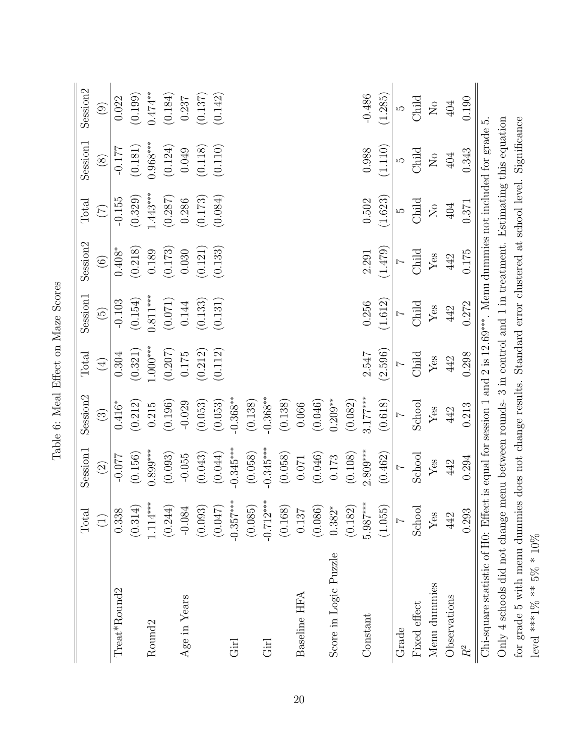|                                                                                                                        | Total       | Session1                         | Session2    | Total                        | Session <sub>1</sub> | Session <sub>2</sub> | Total                       | Session1           | Session <sub>2</sub>          |
|------------------------------------------------------------------------------------------------------------------------|-------------|----------------------------------|-------------|------------------------------|----------------------|----------------------|-----------------------------|--------------------|-------------------------------|
|                                                                                                                        | $\bigoplus$ | $\widehat{(\mathbf{2})}$         | $\odot$     | $\bigoplus$                  | $\widetilde{5}$      | $\widehat{\odot}$    | $(\widetilde{\mathcal{L}})$ | $\circledS$        | $\bigcirc$                    |
| $Treat*Round2$                                                                                                         | 0.338       | $-0.077$                         | $0.416*$    | $0.304\,$                    | $-0.103$             | $0.408*$             | $-0.155$                    | $-0.177$           | 0.022                         |
|                                                                                                                        | (0.314)     | (0.156)                          | (0.212)     | (0.321)                      | (0.154)              | (0.218)              | (0.329)                     | (0.181)            | (0.199)                       |
| Round <sub>2</sub>                                                                                                     | $1.114***$  | $0.899***$                       | $0.215\,$   | $1.000***$                   | $0.811***$           | 0.189                | $1.443***$                  | $0.968***$         | $0.474***$                    |
|                                                                                                                        | (0.244)     | (0.093)                          | (0.196)     | $\left(0.207\right)$ $0.175$ | (0.071)              | (0.173)              | (0.287)                     | (0.124)            | (0.184)                       |
| Age in Years                                                                                                           | $-0.084$    | $-0.055$                         | $-0.029$    |                              | 0.144                | 0.030                | 0.286                       | 0.049              | 0.237                         |
|                                                                                                                        | (0.093)     | (0.043)                          | (0.053)     | (0.212)                      | (0.133)              | (0.121)              | (0.173)                     | (0.118)            | (0.137)                       |
|                                                                                                                        | (0.047)     | (0.044)                          | (0.053)     | (0.112)                      | (0.131)              | (0.133)              | (0.084)                     | (0.110)            | (0.142)                       |
| Girl                                                                                                                   | $-0.357***$ | $-0.345***$                      | $-0.368***$ |                              |                      |                      |                             |                    |                               |
|                                                                                                                        | (0.085)     | (0.058)                          | (0.138)     |                              |                      |                      |                             |                    |                               |
| Girl                                                                                                                   | $-0.712***$ | $-0.345***$                      | $-0.368***$ |                              |                      |                      |                             |                    |                               |
|                                                                                                                        | (0.168)     | (0.058)                          | (0.138)     |                              |                      |                      |                             |                    |                               |
| Baseline HFA                                                                                                           | 0.137       | $0.071\,$                        | 0.066       |                              |                      |                      |                             |                    |                               |
|                                                                                                                        | (0.086)     | (0.046)                          | (0.046)     |                              |                      |                      |                             |                    |                               |
| Score in Logic Puzzle                                                                                                  | $0.382*$    | 0.173                            | $0.209***$  |                              |                      |                      |                             |                    |                               |
|                                                                                                                        | (0.182)     | (0.108)                          | (0.082)     |                              |                      |                      |                             |                    |                               |
| Constant                                                                                                               | $5.987***$  | $2.809***$                       | $3.177***$  | 2.547                        | 0.256                | 2.291                | $0.502\,$                   | 0.988              | $-0.486$                      |
|                                                                                                                        | (1.055)     | (0.462)                          | (0.618)     | (2.596)                      | (1.612)              | (1.479)              | (1.623)                     | (1.110)            | (1.285)                       |
| Grade                                                                                                                  |             | $\overline{z}$                   |             | $\overline{z}$               | $\overline{z}$       | $\overline{z}$       | LO                          | LO                 | IJ                            |
| Fixed effect                                                                                                           | School      | School                           | School      | Child                        | Child                | Child                | Child                       | Child              | Child                         |
| Menu dummies                                                                                                           | Yes         | $\mathbf{Y}\mathbf{e}\mathbf{s}$ | ${\rm Yes}$ | $\operatorname{Yes}$         | ${\rm Yes}$          | ${\rm Yes}$          | $\rm _N$                    | $\rm _{N}^{\rm o}$ | $\rm \stackrel{\circ}{\rm X}$ |
| Observations                                                                                                           | 442         | 442                              | 442         | 442                          | 442                  | 442                  | $404\,$                     | $404\,$            | 404                           |
| $R^2$                                                                                                                  | 0.293       | 0.294                            | 0.213       | 0.298                        | 0.272                | 0.175                | 0.371                       | 0.343              | 0.190                         |
| Chi-square statistic of H0: Effect is equal for session 1 and 2 is $12.69***$ . Menu dummies not included for grade 5. |             |                                  |             |                              |                      |                      |                             |                    |                               |
| Only 4 schools did not change menu between rounds- 3 in control and 1 in treatment. Estimating this equation           |             |                                  |             |                              |                      |                      |                             |                    |                               |
| for grade 5 with menu dummies does not change results. Standard error clustered at school level. Significance          |             |                                  |             |                              |                      |                      |                             |                    |                               |
| level ***1% ** $5\%$ * $10\%$                                                                                          |             |                                  |             |                              |                      |                      |                             |                    |                               |

| Conce<br>Č                  |  |
|-----------------------------|--|
| ć                           |  |
| $\sin$<br>こうしょ<br>S<br>T    |  |
| ۶<br>م                      |  |
| į<br>¢<br>$-100$<br>ے۔<br>ء |  |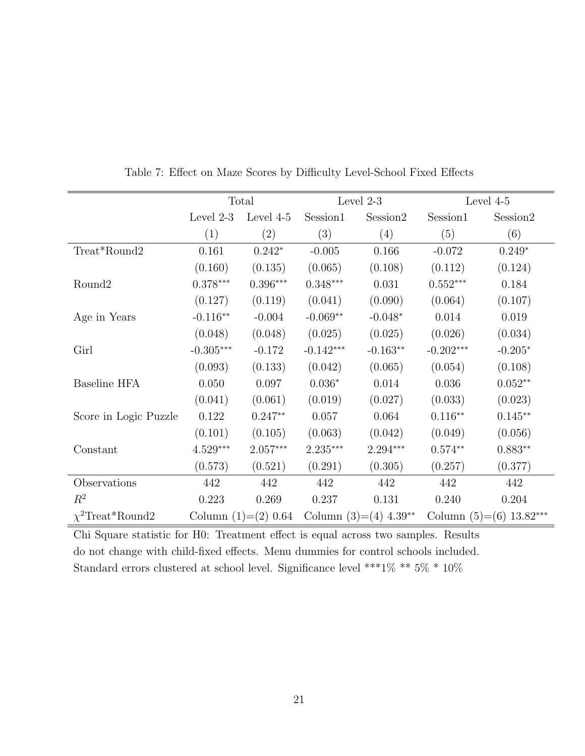|                       |             | Total                  |                        | Level 2-3                           |             | Level 4-5                 |
|-----------------------|-------------|------------------------|------------------------|-------------------------------------|-------------|---------------------------|
|                       | Level $2-3$ | Level 4-5              | Session1               | Session2                            | Session1    | Session <sub>2</sub>      |
|                       | (1)         | (2)                    | (3)                    | (4)                                 | (5)         | (6)                       |
| Treat*Round2          | 0.161       | $0.242*$               | $-0.005$               | 0.166                               | $-0.072$    | $0.249*$                  |
|                       | (0.160)     | (0.135)                | (0.065)                | (0.108)                             | (0.112)     | (0.124)                   |
| Round <sub>2</sub>    | $0.378***$  | $0.396^{\ast\ast\ast}$ | $0.348^{\ast\ast\ast}$ | 0.031                               | $0.552***$  | 0.184                     |
|                       | (0.127)     | (0.119)                | (0.041)                | (0.090)                             | (0.064)     | (0.107)                   |
| Age in Years          | $-0.116**$  | $-0.004$               | $-0.069**$             | $-0.048*$                           | 0.014       | 0.019                     |
|                       | (0.048)     | (0.048)                | (0.025)                | (0.025)                             | (0.026)     | (0.034)                   |
| Girl                  | $-0.305***$ | $-0.172$               | $-0.142***$            | $-0.163**$                          | $-0.202***$ | $-0.205*$                 |
|                       | (0.093)     | (0.133)                | (0.042)                | (0.065)                             | (0.054)     | (0.108)                   |
| <b>Baseline HFA</b>   | 0.050       | 0.097                  | $0.036*$               | 0.014                               | 0.036       | $0.052**$                 |
|                       | (0.041)     | (0.061)                | (0.019)                | (0.027)                             | (0.033)     | (0.023)                   |
| Score in Logic Puzzle | 0.122       | $0.247**$              | 0.057                  | 0.064                               | $0.116**$   | $0.145**$                 |
|                       | (0.101)     | (0.105)                | (0.063)                | (0.042)                             | (0.049)     | (0.056)                   |
| Constant              | $4.529***$  | $2.057\mbox{***}$      | $2.235***$             | $2.294***$                          | $0.574**$   | $0.883**$                 |
|                       | (0.573)     | (0.521)                | (0.291)                | (0.305)                             | (0.257)     | (0.377)                   |
| Observations          | 442         | 442                    | 442                    | 442                                 | 442         | 442                       |
| $\mathbb{R}^2$        | 0.223       | 0.269                  | 0.237                  | 0.131                               | 0.240       | 0.204                     |
| $\chi^2$ Treat*Round2 |             | Column $(1)=(2) 0.64$  |                        | Column $(3)=(4)$ 4.39 <sup>**</sup> |             | Column $(5)=(6)$ 13.82*** |

Table 7: Effect on Maze Scores by Difficulty Level-School Fixed Effects

Chi Square statistic for H0: Treatment effect is equal across two samples. Results do not change with child-fixed effects. Menu dummies for control schools included. Standard errors clustered at school level. Significance level \*\*\*1% \*\*  $5\%$  \*  $10\%$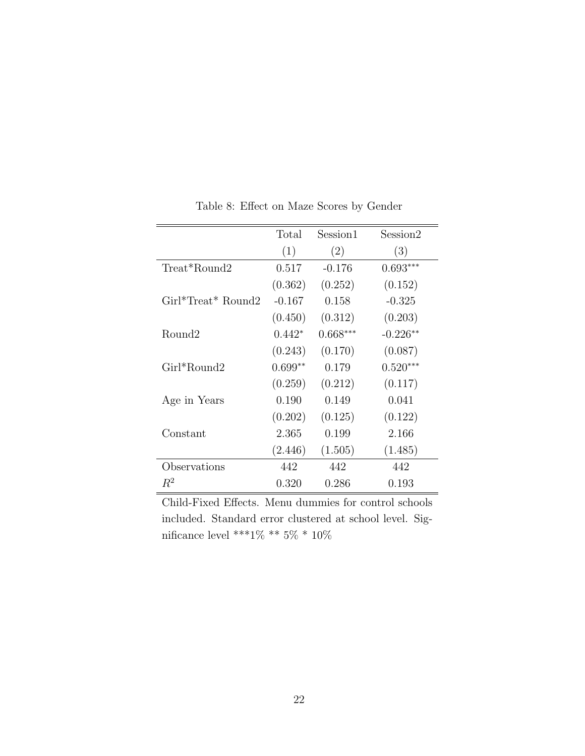|                        | Total     | Session1   | Session2   |
|------------------------|-----------|------------|------------|
|                        | (1)       | (2)        | (3)        |
| Treat*Round2           | 0.517     | $-0.176$   | $0.693***$ |
|                        | (0.362)   | (0.252)    | (0.152)    |
| $Girl^*Treat^* Round2$ | $-0.167$  | 0.158      | $-0.325$   |
|                        | (0.450)   | (0.312)    | (0.203)    |
| Round2                 | $0.442*$  | $0.668***$ | $-0.226**$ |
|                        | (0.243)   | (0.170)    | (0.087)    |
| Girl*Round2            | $0.699**$ | 0.179      | $0.520***$ |
|                        | (0.259)   | (0.212)    | (0.117)    |
| Age in Years           | 0.190     | 0.149      | 0.041      |
|                        | (0.202)   | (0.125)    | (0.122)    |
| Constant               | 2.365     | 0.199      | 2.166      |
|                        | (2.446)   | (1.505)    | (1.485)    |
| Observations           | 442       | 442        | 442        |
| $R^2$                  | 0.320     | 0.286      | 0.193      |

Table 8: Effect on Maze Scores by Gender

Child-Fixed Effects. Menu dummies for control schools included. Standard error clustered at school level. Significance level \*\*\*1% \*\*  $5\%$ \* $10\%$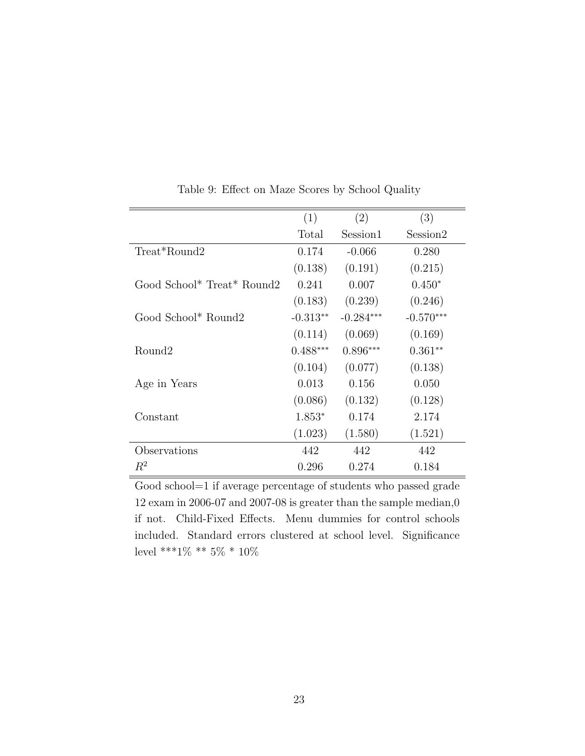|                            | (1)        | (2)         | (3)         |
|----------------------------|------------|-------------|-------------|
|                            | Total      | Session1    | Session2    |
| Treat*Round2               | 0.174      | $-0.066$    | 0.280       |
|                            | (0.138)    | (0.191)     | (0.215)     |
| Good School* Treat* Round2 | 0.241      | 0.007       | $0.450*$    |
|                            | (0.183)    | (0.239)     | (0.246)     |
| Good School* Round2        | $-0.313**$ | $-0.284***$ | $-0.570***$ |
|                            | (0.114)    | (0.069)     | (0.169)     |
| Round <sub>2</sub>         | $0.488***$ | $0.896***$  | $0.361**$   |
|                            | (0.104)    | (0.077)     | (0.138)     |
| Age in Years               | 0.013      | 0.156       | 0.050       |
|                            | (0.086)    | (0.132)     | (0.128)     |
| Constant                   | $1.853*$   | 0.174       | 2.174       |
|                            | (1.023)    | (1.580)     | (1.521)     |
| Observations               | 442        | 442         | 442         |
| $R^2$                      | 0.296      | 0.274       | 0.184       |

Table 9: Effect on Maze Scores by School Quality

Good school=1 if average percentage of students who passed grade 12 exam in 2006-07 and 2007-08 is greater than the sample median,0 if not. Child-Fixed Effects. Menu dummies for control schools included. Standard errors clustered at school level. Significance level \*\*\*1% \*\* 5% \* 10%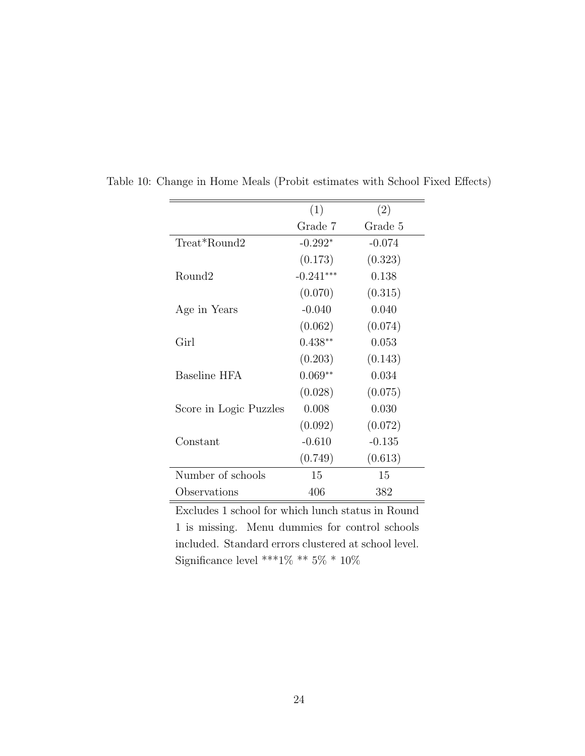|                        | (1)         | (2)      |
|------------------------|-------------|----------|
|                        | Grade 7     | Grade 5  |
| Treat*Round2           | $-0.292*$   | $-0.074$ |
|                        | (0.173)     | (0.323)  |
| Round2                 | $-0.241***$ | 0.138    |
|                        | (0.070)     | (0.315)  |
| Age in Years           | $-0.040$    | 0.040    |
|                        | (0.062)     | (0.074)  |
| Girl                   | $0.438**$   | 0.053    |
|                        | (0.203)     | (0.143)  |
| Baseline HFA           | $0.069**$   | 0.034    |
|                        | (0.028)     | (0.075)  |
| Score in Logic Puzzles | 0.008       | 0.030    |
|                        | (0.092)     | (0.072)  |
| Constant               | $-0.610$    | $-0.135$ |
|                        | (0.749)     | (0.613)  |
| Number of schools      | 15          | 15       |
| Observations           | 406         | 382      |

Table 10: Change in Home Meals (Probit estimates with School Fixed Effects)

Excludes 1 school for which lunch status in Round 1 is missing. Menu dummies for control schools included. Standard errors clustered at school level. Significance level \*\*\*1% \*\* 5% \* 10%  $\,$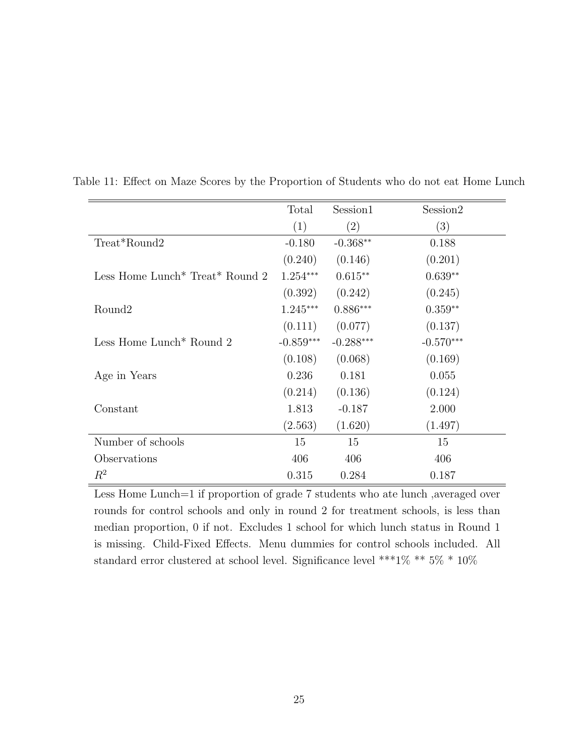|                                                         | Total       | Session1    | Session2    |
|---------------------------------------------------------|-------------|-------------|-------------|
|                                                         | (1)         | (2)         | (3)         |
| Treat*Round2                                            | $-0.180$    | $-0.368**$  | 0.188       |
|                                                         | (0.240)     | (0.146)     | (0.201)     |
| Less Home Lunch <sup>*</sup> Treat <sup>*</sup> Round 2 | $1.254***$  | $0.615**$   | $0.639**$   |
|                                                         | (0.392)     | (0.242)     | (0.245)     |
| Round <sub>2</sub>                                      | $1.245***$  | $0.886***$  | $0.359**$   |
|                                                         | (0.111)     | (0.077)     | (0.137)     |
| Less Home Lunch <sup>*</sup> Round 2                    | $-0.859***$ | $-0.288***$ | $-0.570***$ |
|                                                         | (0.108)     | (0.068)     | (0.169)     |
| Age in Years                                            | 0.236       | 0.181       | 0.055       |
|                                                         | (0.214)     | (0.136)     | (0.124)     |
| Constant                                                | 1.813       | $-0.187$    | 2.000       |
|                                                         | (2.563)     | (1.620)     | (1.497)     |
| Number of schools                                       | 15          | 15          | 15          |
| Observations                                            | 406         | 406         | 406         |
| $R^2$                                                   | 0.315       | 0.284       | 0.187       |

Table 11: Effect on Maze Scores by the Proportion of Students who do not eat Home Lunch

Less Home Lunch=1 if proportion of grade 7 students who ate lunch, averaged over rounds for control schools and only in round 2 for treatment schools, is less than median proportion, 0 if not. Excludes 1 school for which lunch status in Round 1 is missing. Child-Fixed Effects. Menu dummies for control schools included. All standard error clustered at school level. Significance level \*\*\*1% \*\*  $5\%$  \*  $10\%$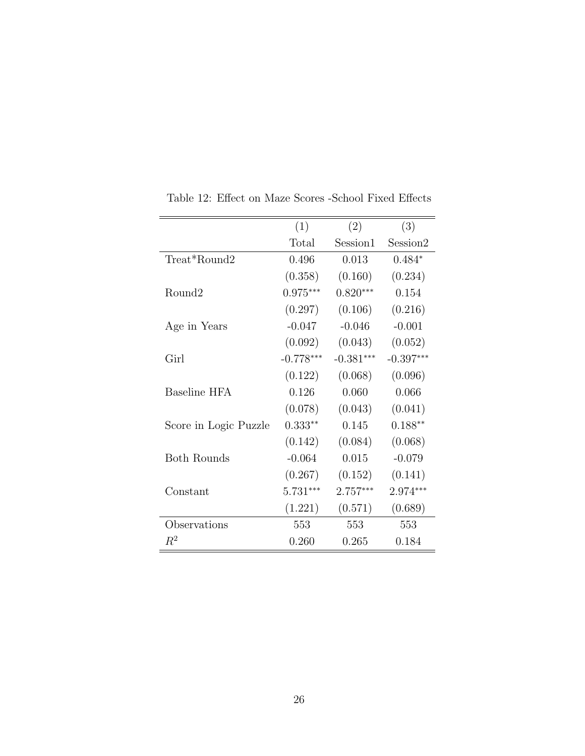|                       | (1)         | (2)         | (3)         |
|-----------------------|-------------|-------------|-------------|
|                       | Total       | Session1    | Session2    |
| Treat*Round2          | 0.496       | 0.013       | $0.484*$    |
|                       | (0.358)     | (0.160)     | (0.234)     |
| Round2                | $0.975***$  | $0.820***$  | 0.154       |
|                       | (0.297)     | (0.106)     | (0.216)     |
| Age in Years          | $-0.047$    | $-0.046$    | $-0.001$    |
|                       | (0.092)     | (0.043)     | (0.052)     |
| Girl                  | $-0.778***$ | $-0.381***$ | $-0.397***$ |
|                       | (0.122)     | (0.068)     | (0.096)     |
| Baseline HFA          | 0.126       | 0.060       | 0.066       |
|                       | (0.078)     | (0.043)     | (0.041)     |
| Score in Logic Puzzle | $0.333**$   | 0.145       | $0.188**$   |
|                       | (0.142)     | (0.084)     | (0.068)     |
| <b>Both Rounds</b>    | $-0.064$    | 0.015       | $-0.079$    |
|                       | (0.267)     | (0.152)     | (0.141)     |
| Constant              | $5.731***$  | 2.757***    | 2.974***    |
|                       | (1.221)     | (0.571)     | (0.689)     |
| Observations          | 553         | 553         | 553         |
| $\,R^2$               | 0.260       | 0.265       | 0.184       |

Table 12: Effect on Maze Scores -School Fixed Effects

 $\cdot$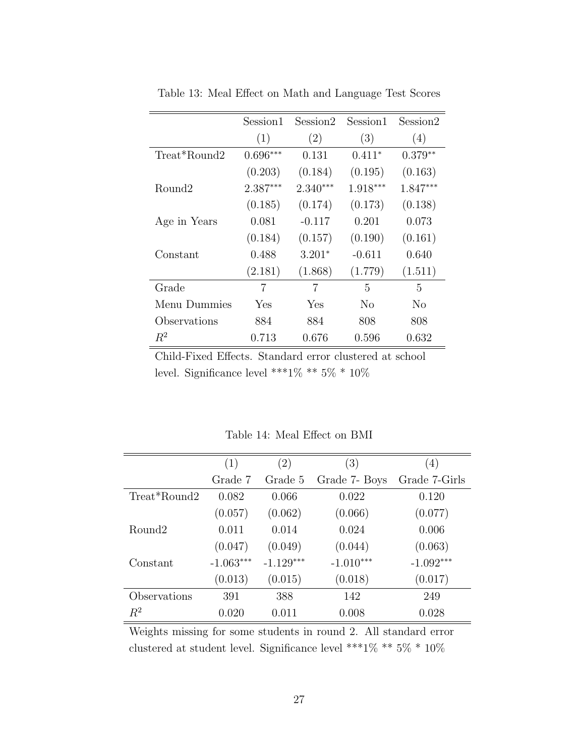|              | Session1   | Session2   | Session1   | Session2   |
|--------------|------------|------------|------------|------------|
|              | (1)        | (2)        | (3)        | (4)        |
| Treat*Round2 | $0.696***$ | 0.131      | $0.411*$   | $0.379**$  |
|              | (0.203)    | (0.184)    | (0.195)    | (0.163)    |
| Round2       | $2.387***$ | $2.340***$ | $1.918***$ | $1.847***$ |
|              | (0.185)    | (0.174)    | (0.173)    | (0.138)    |
| Age in Years | 0.081      | $-0.117$   | 0.201      | 0.073      |
|              | (0.184)    | (0.157)    | (0.190)    | (0.161)    |
| Constant     | 0.488      | $3.201*$   | $-0.611$   | 0.640      |
|              | (2.181)    | (1.868)    | (1.779)    | (1.511)    |
| Grade        | 7          | 7          | 5          | 5          |
| Menu Dummies | Yes        | Yes        | No         | No         |
| Observations | 884        | 884        | 808        | 808        |
| $R^2$        | 0.713      | 0.676      | 0.596      | 0.632      |

Table 13: Meal Effect on Math and Language Test Scores

Child-Fixed Effects. Standard error clustered at school level. Significance level \*\*\*1% \*\*  $5\%$  \*  $10\%$ 

|                    | (1)         | (2)         | (3)           | (4)           |
|--------------------|-------------|-------------|---------------|---------------|
|                    | Grade 7     | Grade 5     | Grade 7- Boys | Grade 7-Girls |
| Treat*Round2       | 0.082       | 0.066       | 0.022         | 0.120         |
|                    | (0.057)     | (0.062)     | (0.066)       | (0.077)       |
| Round <sub>2</sub> | 0.011       | 0.014       | 0.024         | 0.006         |
|                    | (0.047)     | (0.049)     | (0.044)       | (0.063)       |
| Constant           | $-1.063***$ | $-1.129***$ | $-1.010***$   | $-1.092***$   |
|                    | (0.013)     | (0.015)     | (0.018)       | (0.017)       |
| Observations       | 391         | 388         | 142           | 249           |
| $R^2$              | 0.020       | 0.011       | 0.008         | 0.028         |

Table 14: Meal Effect on BMI

Weights missing for some students in round 2. All standard error clustered at student level. Significance level \*\*\*1% \*\*  $5\%$  \*  $10\%$